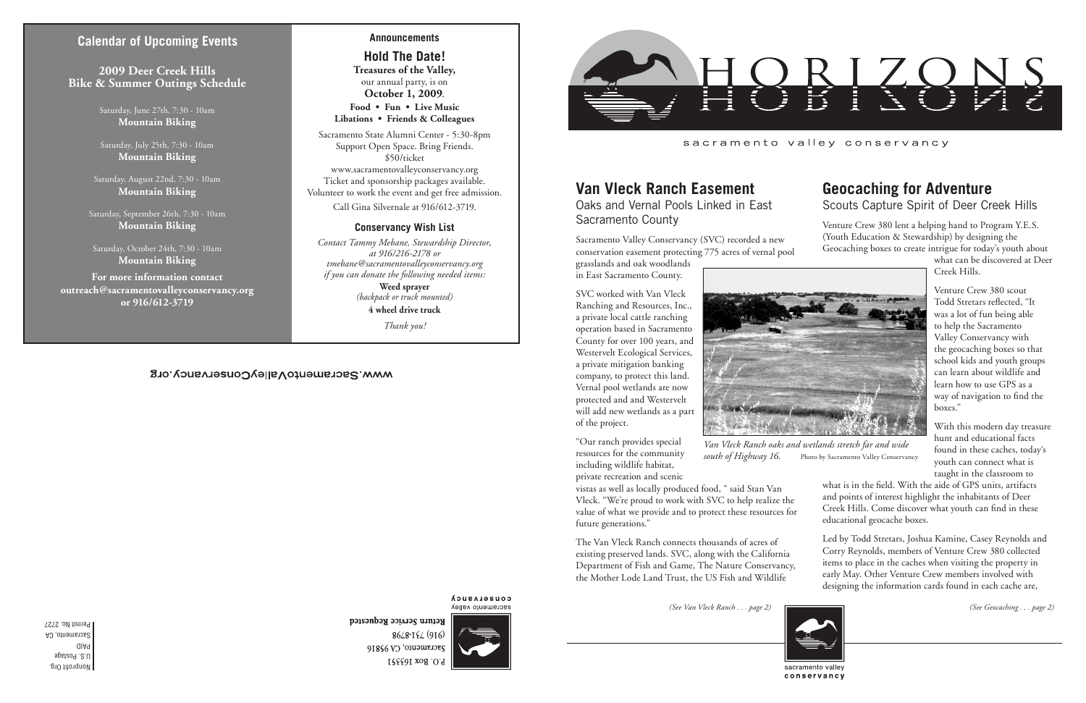Nonprofit Org. U.S. Postage PAID Sacramento, CA Permit No. 2727

#### sacramento valley conservancy

## **Calendar of Upcoming Events**



*Van Vleck Ranch oaks and wetlands stretch far and wide south of Highway 16.* Photo by Sacramento Valley Conservancy

## **Van Vleck Ranch Easement**

Oaks and Vernal Pools Linked in East Sacramento County

Sacramento Valley Conservancy (SVC) recorded a new conservation easement protecting 775 acres of vernal pool

grasslands and oak woodlands in East Sacramento County.

SVC worked with Van Vleck Ranching and Resources, Inc., a private local cattle ranching operation based in Sacramento County for over 100 years, and Westervelt Ecological Services, a private mitigation banking company, to protect this land. Vernal pool wetlands are now protected and and Westervelt will add new wetlands as a part of the project.

"Our ranch provides special resources for the community including wildlife habitat, private recreation and scenic

vistas as well as locally produced food, " said Stan Van Vleck. "We're proud to work with SVC to help realize the value of what we provide and to protect these resources for future generations."

The Van Vleck Ranch connects thousands of acres of existing preserved lands. SVC, along with the California Department of Fish and Game, The Nature Conservancy, the Mother Lode Land Trust, the US Fish and Wildlife

## **Geocaching for Adventure** Scouts Capture Spirit of Deer Creek Hills

Venture Crew 380 lent a helping hand to Program Y.E.S. (Youth Education & Stewardship) by designing the Geocaching boxes to create intrigue for today's youth about

> what can be discovered at Deer Creek Hills.

Venture Crew 380 scout Todd Stretars reflected, "It was a lot of fun being able to help the Sacramento Valley Conservancy with the geocaching boxes so that school kids and youth groups can learn about wildlife and learn how to use GPS as a way of navigation to find the boxes."

With this modern day treasure hunt and educational facts found in these caches, today's youth can connect what is taught in the classroom to

what is in the field. With the aide of GPS units, artifacts and points of interest highlight the inhabitants of Deer Creek Hills. Come discover what youth can find in these educational geocache boxes.

Led by Todd Stretars, Joshua Kamine, Casey Reynolds and Corry Reynolds, members of Venture Crew 380 collected items to place in the caches when visiting the property in early May. Other Venture Crew members involved with designing the information cards found in each cache are,

conservancy

*(See Van Vleck Ranch . . . page 2) (See Geocaching . . . page 2)*



Return Service Requested

#### **Announcements**

**Hold The Date!**

**Treasures of the Valley,** our annual party, is on **October 1, 2009**.

**Food • Fun • Live Music Libations • Friends & Colleagues**

Sacramento State Alumni Center - 5:30-8pm Support Open Space. Bring Friends. \$50/ticket www.sacramentovalleyconservancy.org Ticket and sponsorship packages available. Volunteer to work the event and get free admission. Call Gina Silvernale at 916/612-3719.

#### **Conservancy Wish List**

*Contact Tammy Mebane, Stewardship Director, at 916/216-2178 or tmebane@sacramentovalleyconservancy.org if you can donate the following needed items:* **Weed sprayer**

*(backpack or truck mounted)* **4 wheel drive truck**

*Thank you!*

### WWW.SacramentoValleyConservancy.org

**COUSELASUCA** sacramento valley

8648-194 (916) Sacramento, CA 95816 P.O. Box 163351



**2009 Deer Creek Hills Bike & Summer Outings Schedule**

> Saturday, June 27th, 7:30 - 10am **Mountain Biking**

> Saturday, July 25th, 7:30 - 10am **Mountain Biking**

Saturday, August 22nd, 7:30 - 10am **Mountain Biking**

Saturday, September 26th, 7:30 - 10am **Mountain Biking**

Saturday, October 24th, 7:30 - 10am **Mountain Biking**

**For more information contact outreach@sacramentovalleyconservancy.org or 916/612-3719**